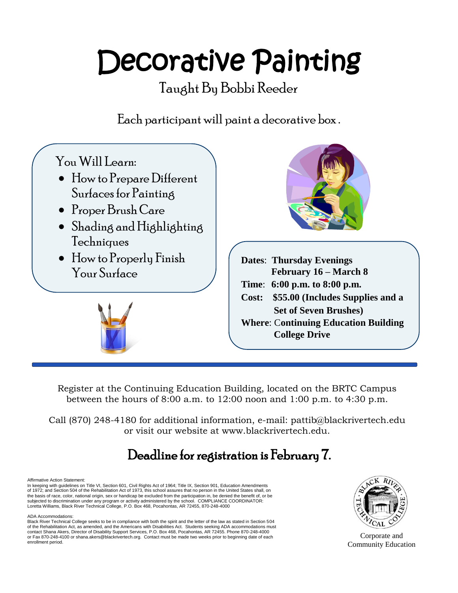# Decorative Painting

Taught By Bobbi Reeder

Each participant will paint a decorative box .



Register at the Continuing Education Building, located on the BRTC Campus between the hours of 8:00 a.m. to  $12:00$  noon and  $1:00$  p.m. to  $4:30$  p.m.

Call (870) 248-4180 for additional information, e-mail: pattib@blackrivertech.edu or visit our website at www.blackrivertech.edu.

## Deadline for registration is February 7.

#### Affirmative Action Statement:

In keeping with guidelines on Title VI, Section 601, Civil Rights Act of 1964; Title IX, Section 901, Education Amendments<br>of 1972; and Section 504 of the Rehabilitation Act of 1973, this school assures that no person in t the basis of race, color, national origin, sex or handicap be excluded from the participation in, be denied the benefit of, or be subjected to discrimination under any program or activity administered by the school. COMPLIANCE COORDINATOR:<br>Loretta Williams, Black River Technical College, P.O. Box 468, Pocahontas, AR 72455, 870-248-4000

#### ADA Accommodations:

Black River Technical College seeks to be in compliance with both the spirit and the letter of the law as stated in Section 504 of the Rehabilitation Act, as amended, and the Americans with Disabilities Act. Students seeking ADA accommodations must<br>contact Shana Akers, Director of Disability Support Services, P.O. Box 468, Pocahontas, AR 72455. Pho or Fax 870-248-4100 or shana.akers@blackrivertech.org. Contact must be made two weeks prior to beginning date of each enrollment p*e*riod.



Corporate and Community Education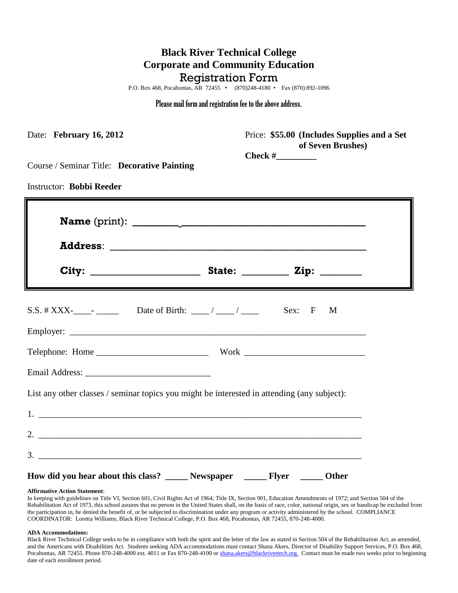### **Black River Technical College Corporate and Community Education** Registration Form

P.O. Box 468, Pocahontas, AR 72455 • (870)248-4180 • Fax (870) 892-1096

#### Please mail form and registration fee to the above address.

| Date: February 16, 2012                                                                     | Price: \$55.00 (Includes Supplies and a Set<br>of Seven Brushes) |
|---------------------------------------------------------------------------------------------|------------------------------------------------------------------|
| Course / Seminar Title: Decorative Painting                                                 |                                                                  |
| <b>Instructor: Bobbi Reeder</b>                                                             |                                                                  |
|                                                                                             |                                                                  |
|                                                                                             |                                                                  |
|                                                                                             | Sex: F<br>M                                                      |
|                                                                                             |                                                                  |
|                                                                                             |                                                                  |
| List any other classes / seminar topics you might be interested in attending (any subject): |                                                                  |
|                                                                                             |                                                                  |
|                                                                                             |                                                                  |
|                                                                                             |                                                                  |
| How did you hear about this class? _______ Newspaper ________ Flyer _______ Other           |                                                                  |

#### **Affirmative Action Statement**:

In keeping with guidelines on Title VI, Section 601, Civil Rights Act of 1964; Title IX, Section 901, Education Amendments of 1972; and Section 504 of the Rehabilitation Act of 1973, this school assures that no person in the United States shall, on the basis of race, color, national origin, sex or handicap be excluded from the participation in, be denied the benefit of, or be subjected to discrimination under any program or activity administered by the school. COMPLIANCE COORDINATOR: Loretta Williams, Black River Technical College, P.O. Box 468, Pocahontas, AR 72455, 870-248-4000.

#### **ADA Accommodations:**

Black River Technical College seeks to be in compliance with both the spirit and the letter of the law as stated in Section 504 of the Rehabilitation Act, as amended, and the Americans with Disabilities Act. Students seeking ADA accommodations must contact Shana Akers, Director of Disability Support Services, P.O. Box 468, Pocahontas, AR 72455. Phone 870-248-4000 ext. 4011 or Fax 870-248-4100 or shana.akers@blackrivertech.org. Contact must be made two weeks prior to beginning date of each enrollment period.